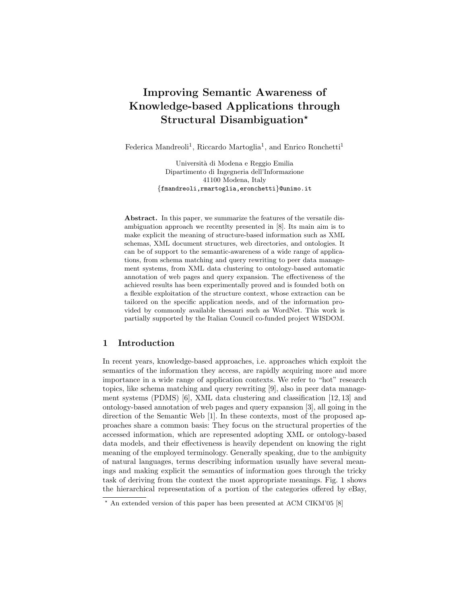# Improving Semantic Awareness of Knowledge-based Applications through Structural Disambiguation?

Federica Mandreoli<sup>1</sup>, Riccardo Martoglia<sup>1</sup>, and Enrico Ronchetti<sup>1</sup>

Universit`a di Modena e Reggio Emilia Dipartimento di Ingegneria dell'Informazione 41100 Modena, Italy {fmandreoli,rmartoglia,eronchetti}@unimo.it

Abstract. In this paper, we summarize the features of the versatile disambiguation approach we recentlty presented in [8]. Its main aim is to make explicit the meaning of structure-based information such as XML schemas, XML document structures, web directories, and ontologies. It can be of support to the semantic-awareness of a wide range of applications, from schema matching and query rewriting to peer data management systems, from XML data clustering to ontology-based automatic annotation of web pages and query expansion. The effectiveness of the achieved results has been experimentally proved and is founded both on a flexible exploitation of the structure context, whose extraction can be tailored on the specific application needs, and of the information provided by commonly available thesauri such as WordNet. This work is partially supported by the Italian Council co-funded project WISDOM.

#### 1 Introduction

In recent years, knowledge-based approaches, i.e. approaches which exploit the semantics of the information they access, are rapidly acquiring more and more importance in a wide range of application contexts. We refer to "hot" research topics, like schema matching and query rewriting [9], also in peer data management systems (PDMS) [6], XML data clustering and classification [12, 13] and ontology-based annotation of web pages and query expansion [3], all going in the direction of the Semantic Web [1]. In these contexts, most of the proposed approaches share a common basis: They focus on the structural properties of the accessed information, which are represented adopting XML or ontology-based data models, and their effectiveness is heavily dependent on knowing the right meaning of the employed terminology. Generally speaking, due to the ambiguity of natural languages, terms describing information usually have several meanings and making explicit the semantics of information goes through the tricky task of deriving from the context the most appropriate meanings. Fig. 1 shows the hierarchical representation of a portion of the categories offered by eBay,

 $*$  An extended version of this paper has been presented at ACM CIKM'05 [8]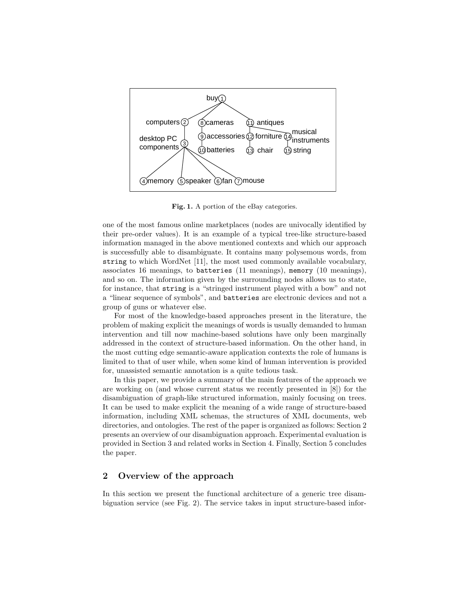

Fig. 1. A portion of the eBay categories.

one of the most famous online marketplaces (nodes are univocally identified by their pre-order values). It is an example of a typical tree-like structure-based information managed in the above mentioned contexts and which our approach is successfully able to disambiguate. It contains many polysemous words, from string to which WordNet [11], the most used commonly available vocabulary, associates 16 meanings, to batteries (11 meanings), memory (10 meanings), and so on. The information given by the surrounding nodes allows us to state, for instance, that string is a "stringed instrument played with a bow" and not a "linear sequence of symbols", and batteries are electronic devices and not a group of guns or whatever else.

For most of the knowledge-based approaches present in the literature, the problem of making explicit the meanings of words is usually demanded to human intervention and till now machine-based solutions have only been marginally addressed in the context of structure-based information. On the other hand, in the most cutting edge semantic-aware application contexts the role of humans is limited to that of user while, when some kind of human intervention is provided for, unassisted semantic annotation is a quite tedious task.

In this paper, we provide a summary of the main features of the approach we are working on (and whose current status we recently presented in [8]) for the disambiguation of graph-like structured information, mainly focusing on trees. It can be used to make explicit the meaning of a wide range of structure-based information, including XML schemas, the structures of XML documents, web directories, and ontologies. The rest of the paper is organized as follows: Section 2 presents an overview of our disambiguation approach. Experimental evaluation is provided in Section 3 and related works in Section 4. Finally, Section 5 concludes the paper.

## 2 Overview of the approach

In this section we present the functional architecture of a generic tree disambiguation service (see Fig. 2). The service takes in input structure-based infor-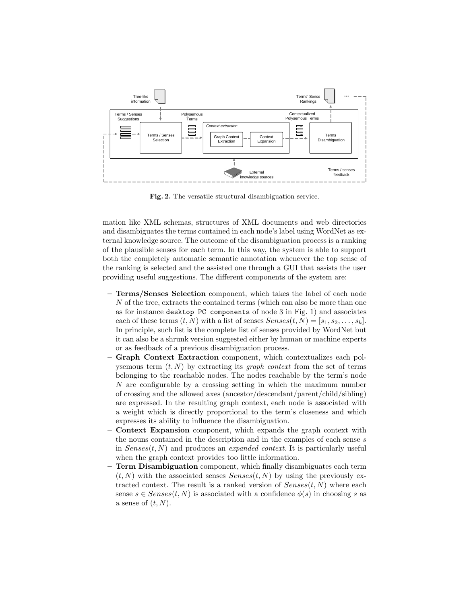

Fig. 2. The versatile structural disambiguation service.

mation like XML schemas, structures of XML documents and web directories and disambiguates the terms contained in each node's label using WordNet as external knowledge source. The outcome of the disambiguation process is a ranking of the plausible senses for each term. In this way, the system is able to support both the completely automatic semantic annotation whenever the top sense of the ranking is selected and the assisted one through a GUI that assists the user providing useful suggestions. The different components of the system are:

- Terms/Senses Selection component, which takes the label of each node N of the tree, extracts the contained terms (which can also be more than one as for instance desktop PC components of node 3 in Fig. 1) and associates each of these terms  $(t, N)$  with a list of senses  $Senses(t, N) = [s_1, s_2, \ldots, s_k]$ . In principle, such list is the complete list of senses provided by WordNet but it can also be a shrunk version suggested either by human or machine experts or as feedback of a previous disambiguation process.
- Graph Context Extraction component, which contextualizes each polysemous term  $(t, N)$  by extracting its *graph context* from the set of terms belonging to the reachable nodes. The nodes reachable by the term's node N are configurable by a crossing setting in which the maximum number of crossing and the allowed axes (ancestor/descendant/parent/child/sibling) are expressed. In the resulting graph context, each node is associated with a weight which is directly proportional to the term's closeness and which expresses its ability to influence the disambiguation.
- Context Expansion component, which expands the graph context with the nouns contained in the description and in the examples of each sense  $s$ in  $Senses(t, N)$  and produces an *expanded context*. It is particularly useful when the graph context provides too little information.
- **Term Disambiguation** component, which finally disambiguates each term  $(t, N)$  with the associated senses  $Senses(t, N)$  by using the previously extracted context. The result is a ranked version of  $Senses(t, N)$  where each sense  $s \in Senses(t, N)$  is associated with a confidence  $\phi(s)$  in choosing s as a sense of  $(t, N)$ .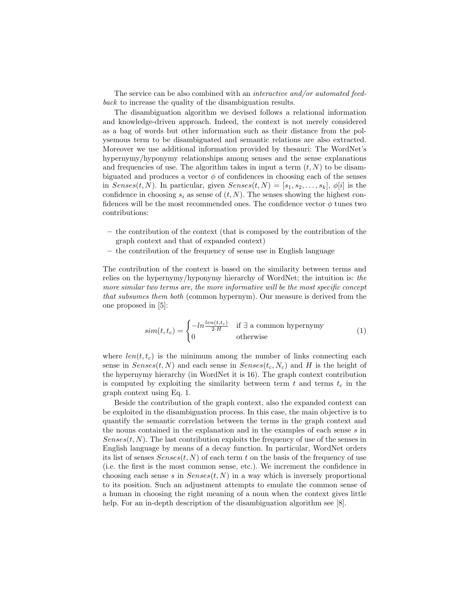The service can be also combined with an interactive and/or automated feedback to increase the quality of the disambiguation results.

The disambiguation algorithm we devised follows a relational information and knowledge-driven approach. Indeed, the context is not merely considered as a bag of words but other information such as their distance from the polysemous term to be disambiguated and semantic relations are also extracted. Moreover we use additional information provided by thesauri: The WordNet's hypernymy/hyponymy relationships among senses and the sense explanations and frequencies of use. The algorithm takes in input a term  $(t, N)$  to be disambiguated and produces a vector  $\phi$  of confidences in choosing each of the senses in  $Senses(t, N)$ . In particular, given  $Senses(t, N) = [s_1, s_2, \ldots, s_k]$ ,  $\phi[i]$  is the confidence in choosing  $s_i$  as sense of  $(t, N)$ . The senses showing the highest confidences will be the most recommended ones. The confidence vector  $\phi$  tunes two contributions:

- the contribution of the context (that is composed by the contribution of the graph context and that of expanded context)
- the contribution of the frequency of sense use in English language

The contribution of the context is based on the similarity between terms and relies on the hypernymy/hyponymy hierarchy of WordNet; the intuition is: the more similar two terms are, the more informative will be the most specific concept that subsumes them both (common hypernym). Our measure is derived from the one proposed in [5]:

$$
sim(t, t_c) = \begin{cases} -\ln \frac{len(t, t_c)}{2 \cdot H} & \text{if } \exists \text{ a common hypernymy} \\ 0 & \text{otherwise} \end{cases}
$$
(1)

where  $len(t, t_c)$  is the minimum among the number of links connecting each sense in  $Senses(t, N)$  and each sense in  $Senses(t_c, N_c)$  and H is the height of the hypernymy hierarchy (in WordNet it is 16). The graph context contribution is computed by exploiting the similarity between term  $t$  and terms  $t_c$  in the graph context using Eq. 1.

Beside the contribution of the graph context, also the expanded context can be exploited in the disambiguation process. In this case, the main objective is to quantify the semantic correlation between the terms in the graph context and the nouns contained in the explanation and in the examples of each sense s in  $Senses(t, N)$ . The last contribution exploits the frequency of use of the senses in English language by means of a decay function. In particular, WordNet orders its list of senses  $Senses(t, N)$  of each term t on the basis of the frequency of use (i.e. the first is the most common sense, etc.). We increment the confidence in choosing each sense s in  $Senses(t, N)$  in a way which is inversely proportional to its position. Such an adjustment attempts to emulate the common sense of a human in choosing the right meaning of a noun when the context gives little help. For an in-depth description of the disambiguation algorithm see [8].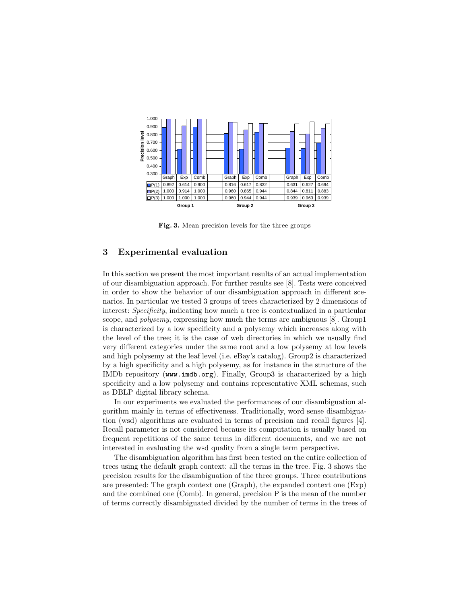

Fig. 3. Mean precision levels for the three groups

#### 3 Experimental evaluation

In this section we present the most important results of an actual implementation of our disambiguation approach. For further results see [8]. Tests were conceived in order to show the behavior of our disambiguation approach in different scenarios. In particular we tested 3 groups of trees characterized by 2 dimensions of interest: Specificity, indicating how much a tree is contextualized in a particular scope, and *polysemy*, expressing how much the terms are ambiguous [8]. Group1 is characterized by a low specificity and a polysemy which increases along with the level of the tree; it is the case of web directories in which we usually find very different categories under the same root and a low polysemy at low levels and high polysemy at the leaf level (i.e. eBay's catalog). Group2 is characterized by a high specificity and a high polysemy, as for instance in the structure of the IMDb repository (www.imdb.org). Finally, Group3 is characterized by a high specificity and a low polysemy and contains representative XML schemas, such as DBLP digital library schema.

In our experiments we evaluated the performances of our disambiguation algorithm mainly in terms of effectiveness. Traditionally, word sense disambiguation (wsd) algorithms are evaluated in terms of precision and recall figures [4]. Recall parameter is not considered because its computation is usually based on frequent repetitions of the same terms in different documents, and we are not interested in evaluating the wsd quality from a single term perspective.

The disambiguation algorithm has first been tested on the entire collection of trees using the default graph context: all the terms in the tree. Fig. 3 shows the precision results for the disambiguation of the three groups. Three contributions are presented: The graph context one (Graph), the expanded context one (Exp) and the combined one (Comb). In general, precision P is the mean of the number of terms correctly disambiguated divided by the number of terms in the trees of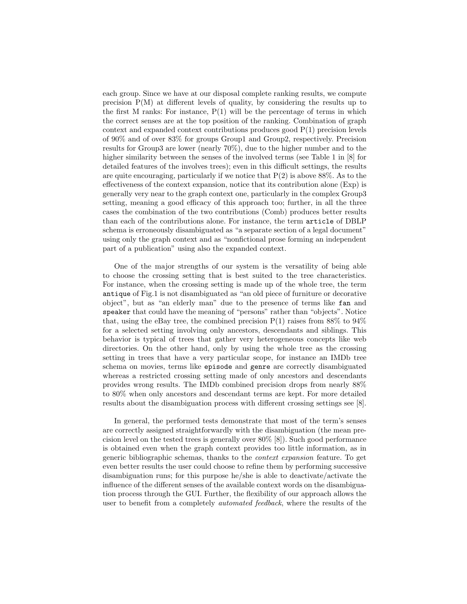each group. Since we have at our disposal complete ranking results, we compute precision  $P(M)$  at different levels of quality, by considering the results up to the first M ranks: For instance,  $P(1)$  will be the percentage of terms in which the correct senses are at the top position of the ranking. Combination of graph context and expanded context contributions produces good  $P(1)$  precision levels of 90% and of over 83% for groups Group1 and Group2, respectively. Precision results for Group3 are lower (nearly 70%), due to the higher number and to the higher similarity between the senses of the involved terms (see Table 1 in [8] for detailed features of the involves trees); even in this difficult settings, the results are quite encouraging, particularly if we notice that  $P(2)$  is above 88%. As to the effectiveness of the context expansion, notice that its contribution alone (Exp) is generally very near to the graph context one, particularly in the complex Group3 setting, meaning a good efficacy of this approach too; further, in all the three cases the combination of the two contributions (Comb) produces better results than each of the contributions alone. For instance, the term article of DBLP schema is erroneously disambiguated as "a separate section of a legal document" using only the graph context and as "nonfictional prose forming an independent part of a publication" using also the expanded context.

One of the major strengths of our system is the versatility of being able to choose the crossing setting that is best suited to the tree characteristics. For instance, when the crossing setting is made up of the whole tree, the term antique of Fig.1 is not disambiguated as "an old piece of furniture or decorative object", but as "an elderly man" due to the presence of terms like fan and speaker that could have the meaning of "persons" rather than "objects". Notice that, using the eBay tree, the combined precision  $P(1)$  raises from 88% to 94% for a selected setting involving only ancestors, descendants and siblings. This behavior is typical of trees that gather very heterogeneous concepts like web directories. On the other hand, only by using the whole tree as the crossing setting in trees that have a very particular scope, for instance an IMDb tree schema on movies, terms like episode and genre are correctly disambiguated whereas a restricted crossing setting made of only ancestors and descendants provides wrong results. The IMDb combined precision drops from nearly 88% to 80% when only ancestors and descendant terms are kept. For more detailed results about the disambiguation process with different crossing settings see [8].

In general, the performed tests demonstrate that most of the term's senses are correctly assigned straightforwardly with the disambiguation (the mean precision level on the tested trees is generally over 80% [8]). Such good performance is obtained even when the graph context provides too little information, as in generic bibliographic schemas, thanks to the context expansion feature. To get even better results the user could choose to refine them by performing successive disambiguation runs; for this purpose he/she is able to deactivate/activate the influence of the different senses of the available context words on the disambiguation process through the GUI. Further, the flexibility of our approach allows the user to benefit from a completely automated feedback, where the results of the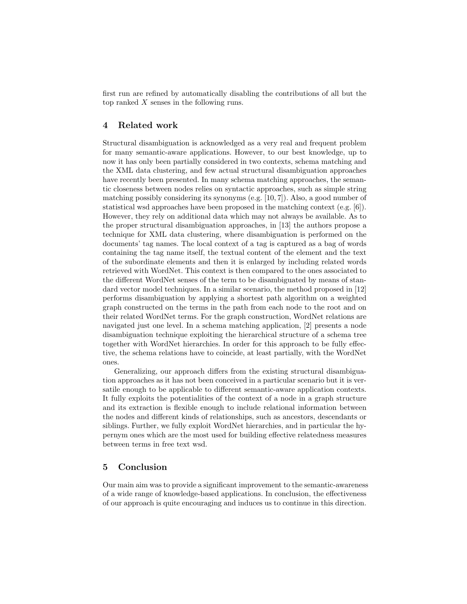first run are refined by automatically disabling the contributions of all but the top ranked X senses in the following runs.

# 4 Related work

Structural disambiguation is acknowledged as a very real and frequent problem for many semantic-aware applications. However, to our best knowledge, up to now it has only been partially considered in two contexts, schema matching and the XML data clustering, and few actual structural disambiguation approaches have recently been presented. In many schema matching approaches, the semantic closeness between nodes relies on syntactic approaches, such as simple string matching possibly considering its synonyms (e.g. [10, 7]). Also, a good number of statistical wsd approaches have been proposed in the matching context (e.g. [6]). However, they rely on additional data which may not always be available. As to the proper structural disambiguation approaches, in [13] the authors propose a technique for XML data clustering, where disambiguation is performed on the documents' tag names. The local context of a tag is captured as a bag of words containing the tag name itself, the textual content of the element and the text of the subordinate elements and then it is enlarged by including related words retrieved with WordNet. This context is then compared to the ones associated to the different WordNet senses of the term to be disambiguated by means of standard vector model techniques. In a similar scenario, the method proposed in [12] performs disambiguation by applying a shortest path algorithm on a weighted graph constructed on the terms in the path from each node to the root and on their related WordNet terms. For the graph construction, WordNet relations are navigated just one level. In a schema matching application, [2] presents a node disambiguation technique exploiting the hierarchical structure of a schema tree together with WordNet hierarchies. In order for this approach to be fully effective, the schema relations have to coincide, at least partially, with the WordNet ones.

Generalizing, our approach differs from the existing structural disambiguation approaches as it has not been conceived in a particular scenario but it is versatile enough to be applicable to different semantic-aware application contexts. It fully exploits the potentialities of the context of a node in a graph structure and its extraction is flexible enough to include relational information between the nodes and different kinds of relationships, such as ancestors, descendants or siblings. Further, we fully exploit WordNet hierarchies, and in particular the hypernym ones which are the most used for building effective relatedness measures between terms in free text wsd.

#### 5 Conclusion

Our main aim was to provide a significant improvement to the semantic-awareness of a wide range of knowledge-based applications. In conclusion, the effectiveness of our approach is quite encouraging and induces us to continue in this direction.